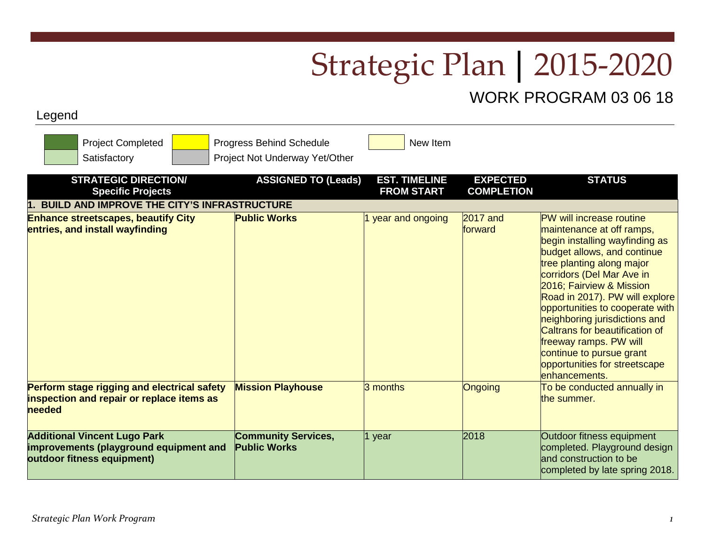## Strategic Plan | 2015-2020

## WORK PROGRAM 03 06 18

## Legend

| <b>Project Completed</b><br>Satisfactory                                                                    | Progress Behind Schedule<br>Project Not Underway Yet/Other | New Item                                  |                                      |                                                                                                                                                                                                                                                                                                                                                                                                                                  |
|-------------------------------------------------------------------------------------------------------------|------------------------------------------------------------|-------------------------------------------|--------------------------------------|----------------------------------------------------------------------------------------------------------------------------------------------------------------------------------------------------------------------------------------------------------------------------------------------------------------------------------------------------------------------------------------------------------------------------------|
| <b>STRATEGIC DIRECTION/</b><br><b>Specific Projects</b>                                                     | <b>ASSIGNED TO (Leads)</b>                                 | <b>EST. TIMELINE</b><br><b>FROM START</b> | <b>EXPECTED</b><br><b>COMPLETION</b> | <b>STATUS</b>                                                                                                                                                                                                                                                                                                                                                                                                                    |
| <b>BUILD AND IMPROVE THE CITY'S INFRASTRUCTURE</b>                                                          | <b>Public Works</b>                                        |                                           | $2017$ and                           | PW will increase routine                                                                                                                                                                                                                                                                                                                                                                                                         |
| <b>Enhance streetscapes, beautify City</b><br>entries, and install wayfinding                               |                                                            | year and ongoing                          | forward                              | maintenance at off ramps,<br>begin installing wayfinding as<br>budget allows, and continue<br>tree planting along major<br>corridors (Del Mar Ave in<br>2016; Fairview & Mission<br>Road in 2017). PW will explore<br>opportunities to cooperate with<br>neighboring jurisdictions and<br>Caltrans for beautification of<br>freeway ramps. PW will<br>continue to pursue grant<br>opportunities for streetscape<br>enhancements. |
| Perform stage rigging and electrical safety<br>inspection and repair or replace items as<br>needed          | <b>Mission Playhouse</b>                                   | 3 months                                  | Ongoing                              | To be conducted annually in<br>the summer.                                                                                                                                                                                                                                                                                                                                                                                       |
| <b>Additional Vincent Lugo Park</b><br>improvements (playground equipment and<br>outdoor fitness equipment) | <b>Community Services,</b><br><b>Public Works</b>          | 1 year                                    | 2018                                 | Outdoor fitness equipment<br>completed. Playground design<br>and construction to be<br>completed by late spring 2018.                                                                                                                                                                                                                                                                                                            |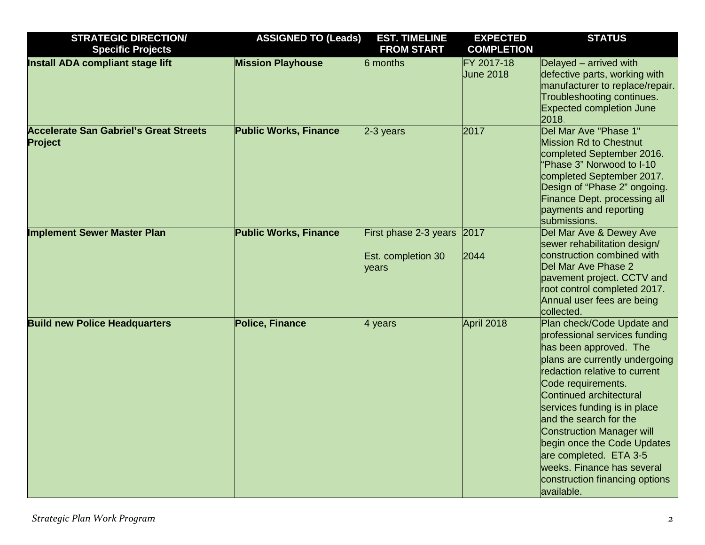| <b>STRATEGIC DIRECTION/</b><br><b>Specific Projects</b>         | <b>ASSIGNED TO (Leads)</b>   | <b>EST. TIMELINE</b><br><b>FROM START</b>                 | <b>EXPECTED</b><br><b>COMPLETION</b> | <b>STATUS</b>                                                                                                                                                                                                                                                                                                                                                                                                                           |
|-----------------------------------------------------------------|------------------------------|-----------------------------------------------------------|--------------------------------------|-----------------------------------------------------------------------------------------------------------------------------------------------------------------------------------------------------------------------------------------------------------------------------------------------------------------------------------------------------------------------------------------------------------------------------------------|
| <b>Install ADA compliant stage lift</b>                         | <b>Mission Playhouse</b>     | 6 months                                                  | FY 2017-18<br><b>June 2018</b>       | Delayed - arrived with<br>defective parts, working with<br>manufacturer to replace/repair.<br>Troubleshooting continues.<br><b>Expected completion June</b><br>2018.                                                                                                                                                                                                                                                                    |
| <b>Accelerate San Gabriel's Great Streets</b><br><b>Project</b> | <b>Public Works, Finance</b> | 2-3 years                                                 | 2017                                 | Del Mar Ave "Phase 1"<br>Mission Rd to Chestnut<br>completed September 2016.<br>"Phase 3" Norwood to I-10<br>completed September 2017.<br>Design of "Phase 2" ongoing.<br>Finance Dept. processing all<br>payments and reporting<br>submissions.                                                                                                                                                                                        |
| <b>Implement Sewer Master Plan</b>                              | <b>Public Works, Finance</b> | First phase 2-3 years 2017<br>Est. completion 30<br>years | 2044                                 | Del Mar Ave & Dewey Ave<br>sewer rehabilitation design/<br>construction combined with<br>Del Mar Ave Phase 2<br>pavement project. CCTV and<br>root control completed 2017.<br>Annual user fees are being<br>collected.                                                                                                                                                                                                                  |
| <b>Build new Police Headquarters</b>                            | <b>Police, Finance</b>       | 4 years                                                   | April 2018                           | Plan check/Code Update and<br>professional services funding<br>has been approved. The<br>plans are currently undergoing<br>redaction relative to current<br>Code requirements.<br>Continued architectural<br>services funding is in place<br>and the search for the<br>Construction Manager will<br>begin once the Code Updates<br>are completed. ETA 3-5<br>weeks. Finance has several<br>construction financing options<br>available. |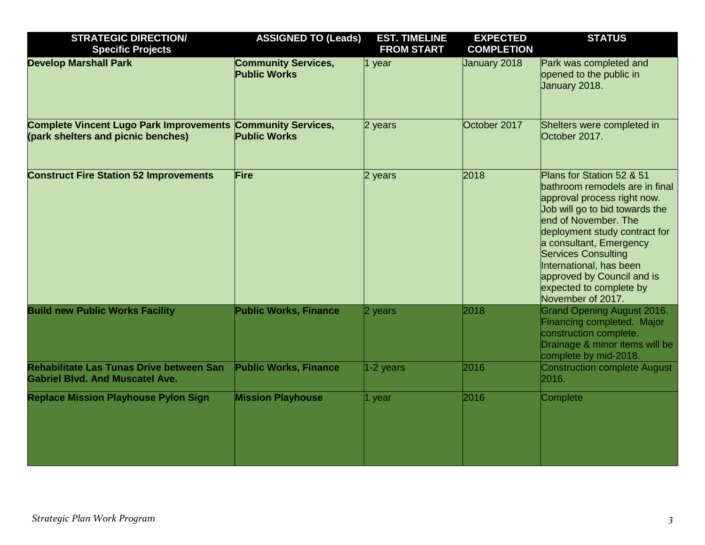| <b>STRATEGIC DIRECTION/</b><br><b>Specific Projects</b>                                           | <b>ASSIGNED TO (Leads)</b>                        | <b>EST. TIMELINE</b><br><b>FROM START</b> | <b>EXPECTED</b><br><b>COMPLETION</b> | <b>STATUS</b>                                                                                                                                                                                                                                                                                                                                           |
|---------------------------------------------------------------------------------------------------|---------------------------------------------------|-------------------------------------------|--------------------------------------|---------------------------------------------------------------------------------------------------------------------------------------------------------------------------------------------------------------------------------------------------------------------------------------------------------------------------------------------------------|
| <b>Develop Marshall Park</b>                                                                      | <b>Community Services,</b><br><b>Public Works</b> | 1 year                                    | January 2018                         | Park was completed and<br>opened to the public in<br>January 2018.                                                                                                                                                                                                                                                                                      |
| Complete Vincent Lugo Park Improvements Community Services,<br>(park shelters and picnic benches) | <b>Public Works</b>                               | 2 years                                   | October 2017                         | Shelters were completed in<br>October 2017.                                                                                                                                                                                                                                                                                                             |
| <b>Construct Fire Station 52 Improvements</b>                                                     | Fire                                              | 2 years                                   | 2018                                 | Plans for Station 52 & 51<br>bathroom remodels are in final<br>approval process right now.<br>Job will go to bid towards the<br>end of November. The<br>deployment study contract for<br>a consultant, Emergency<br><b>Services Consulting</b><br>International, has been<br>approved by Council and is<br>expected to complete by<br>November of 2017. |
| <b>Build new Public Works Facility</b>                                                            | <b>Public Works, Finance</b>                      | 2 years                                   | 2018                                 | <b>Grand Opening August 2016.</b><br>Financing completed. Major<br>construction complete.<br>Drainage & minor items will be<br>complete by mid-2018.                                                                                                                                                                                                    |
| <b>Rehabilitate Las Tunas Drive between San</b><br><b>Gabriel Blvd. And Muscatel Ave.</b>         | <b>Public Works, Finance</b>                      | $1-2$ years                               | 2016                                 | <b>Construction complete August</b><br>2016.                                                                                                                                                                                                                                                                                                            |
| <b>Replace Mission Playhouse Pylon Sign</b>                                                       | <b>Mission Playhouse</b>                          | 1 year                                    | 2016                                 | Complete                                                                                                                                                                                                                                                                                                                                                |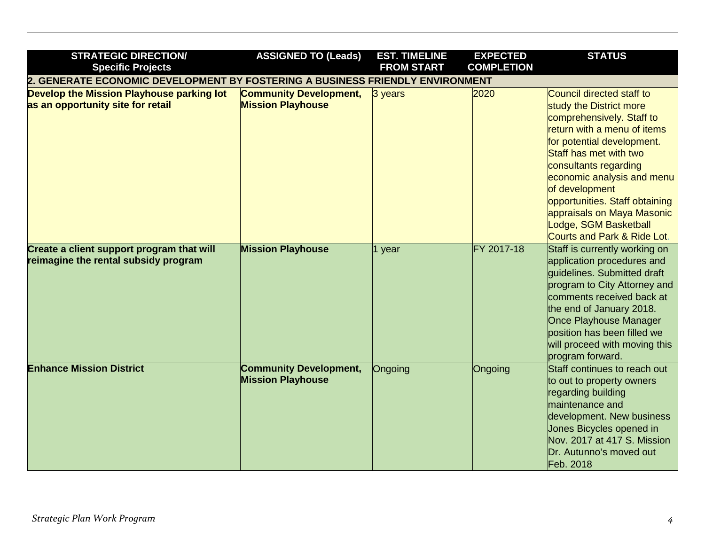| <b>STRATEGIC DIRECTION/</b><br><b>Specific Projects</b>                           | <b>ASSIGNED TO (Leads)</b>                                | <b>EST. TIMELINE</b><br><b>FROM START</b> | <b>EXPECTED</b><br><b>COMPLETION</b> | <b>STATUS</b>                                                                                                                                                                                                                                                                                                                                                                        |
|-----------------------------------------------------------------------------------|-----------------------------------------------------------|-------------------------------------------|--------------------------------------|--------------------------------------------------------------------------------------------------------------------------------------------------------------------------------------------------------------------------------------------------------------------------------------------------------------------------------------------------------------------------------------|
| 2. GENERATE ECONOMIC DEVELOPMENT BY FOSTERING A BUSINESS FRIENDLY ENVIRONMENT     |                                                           |                                           |                                      |                                                                                                                                                                                                                                                                                                                                                                                      |
| Develop the Mission Playhouse parking lot<br>as an opportunity site for retail    | <b>Community Development,</b><br><b>Mission Playhouse</b> | 3 years                                   | 2020                                 | Council directed staff to<br>study the District more<br>comprehensively. Staff to<br>return with a menu of items<br>for potential development.<br>Staff has met with two<br>consultants regarding<br>economic analysis and menu<br>of development<br>opportunities. Staff obtaining<br>appraisals on Maya Masonic<br>Lodge, SGM Basketball<br><b>Courts and Park &amp; Ride Lot.</b> |
| Create a client support program that will<br>reimagine the rental subsidy program | <b>Mission Playhouse</b>                                  | 1 year                                    | FY 2017-18                           | Staff is currently working on<br>application procedures and<br>quidelines. Submitted draft<br>program to City Attorney and<br>comments received back at<br>the end of January 2018.<br><b>Once Playhouse Manager</b><br>position has been filled we<br>will proceed with moving this<br>program forward.                                                                             |
| <b>Enhance Mission District</b>                                                   | <b>Community Development,</b><br><b>Mission Playhouse</b> | Ongoing                                   | Ongoing                              | Staff continues to reach out<br>to out to property owners<br>regarding building<br>maintenance and<br>development. New business<br>Jones Bicycles opened in<br>Nov. 2017 at 417 S. Mission<br>Dr. Autunno's moved out<br>Feb. 2018                                                                                                                                                   |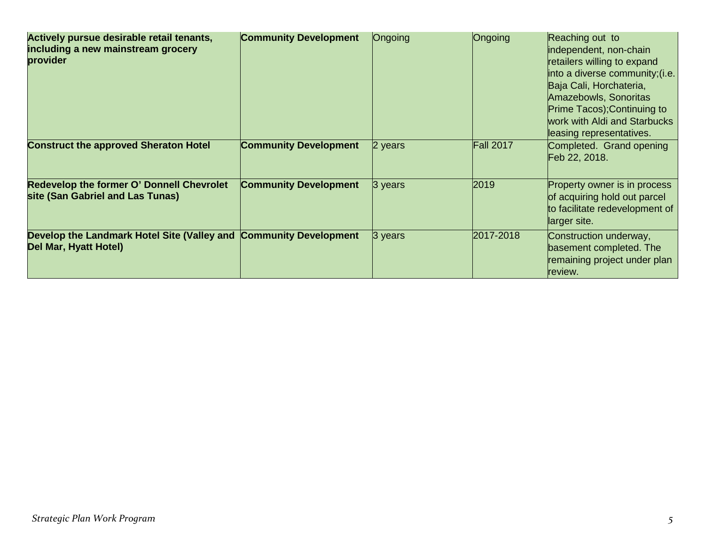| Actively pursue desirable retail tenants,<br>including a new mainstream grocery<br>provider | <b>Community Development</b> | Ongoing | Ongoing          | Reaching out to<br>independent, non-chain<br>retailers willing to expand<br>into a diverse community; (i.e.<br>Baja Cali, Horchateria,<br>Amazebowls, Sonoritas<br>Prime Tacos); Continuing to<br>work with Aldi and Starbucks<br>leasing representatives. |
|---------------------------------------------------------------------------------------------|------------------------------|---------|------------------|------------------------------------------------------------------------------------------------------------------------------------------------------------------------------------------------------------------------------------------------------------|
| <b>Construct the approved Sheraton Hotel</b>                                                | <b>Community Development</b> | 2 years | <b>Fall 2017</b> | Completed. Grand opening<br>Feb 22, 2018.                                                                                                                                                                                                                  |
| <b>Redevelop the former O' Donnell Chevrolet</b><br>site (San Gabriel and Las Tunas)        | <b>Community Development</b> | 3 years | 2019             | Property owner is in process<br>of acquiring hold out parcel<br>to facilitate redevelopment of<br>larger site.                                                                                                                                             |
| Develop the Landmark Hotel Site (Valley and<br>Del Mar, Hyatt Hotel)                        | <b>Community Development</b> | 3 years | 2017-2018        | Construction underway,<br>basement completed. The<br>remaining project under plan<br>review.                                                                                                                                                               |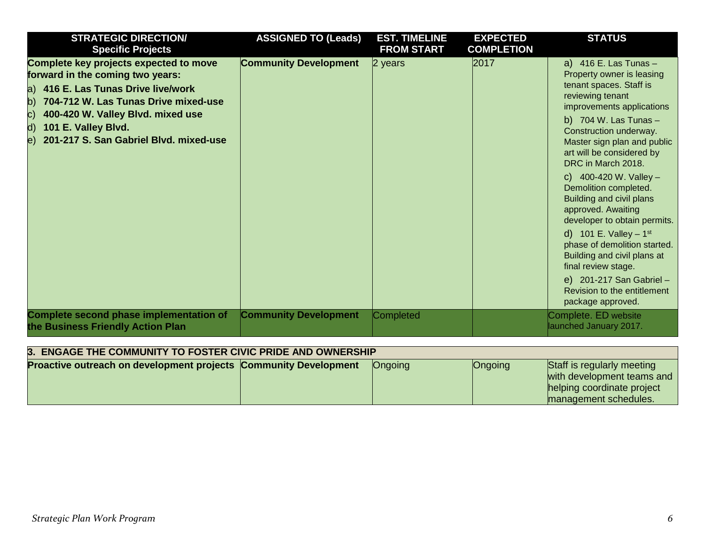| <b>STRATEGIC DIRECTION/</b><br><b>Specific Projects</b>                                                                                                                                                                                                                           | <b>ASSIGNED TO (Leads)</b>   | <b>EST. TIMELINE</b><br><b>FROM START</b> | <b>EXPECTED</b><br><b>COMPLETION</b> | <b>STATUS</b>                                                                                                                                                                                                                                                                                                                                                                                                                                                                                                                                                                                                        |
|-----------------------------------------------------------------------------------------------------------------------------------------------------------------------------------------------------------------------------------------------------------------------------------|------------------------------|-------------------------------------------|--------------------------------------|----------------------------------------------------------------------------------------------------------------------------------------------------------------------------------------------------------------------------------------------------------------------------------------------------------------------------------------------------------------------------------------------------------------------------------------------------------------------------------------------------------------------------------------------------------------------------------------------------------------------|
| Complete key projects expected to move<br>forward in the coming two years:<br>a) 416 E. Las Tunas Drive live/work<br>704-712 W. Las Tunas Drive mixed-use<br>b)<br>400-420 W. Valley Blvd. mixed use<br>C)<br>d) 101 E. Valley Blvd.<br>e) 201-217 S. San Gabriel Blvd. mixed-use | <b>Community Development</b> | 2 years                                   | 2017                                 | a) $416$ E. Las Tunas -<br>Property owner is leasing<br>tenant spaces. Staff is<br>reviewing tenant<br>improvements applications<br>b) $704$ W. Las Tunas $-$<br>Construction underway.<br>Master sign plan and public<br>art will be considered by<br>DRC in March 2018.<br>c) $400-420$ W. Valley -<br>Demolition completed.<br>Building and civil plans<br>approved. Awaiting<br>developer to obtain permits.<br>d) 101 E. Valley $-1^{st}$<br>phase of demolition started.<br>Building and civil plans at<br>final review stage.<br>e) 201-217 San Gabriel -<br>Revision to the entitlement<br>package approved. |
| <b>Complete second phase implementation of</b><br>the Business Friendly Action Plan                                                                                                                                                                                               | <b>Community Development</b> | Completed                                 |                                      | Complete. ED website<br>launched January 2017.                                                                                                                                                                                                                                                                                                                                                                                                                                                                                                                                                                       |

| 3. ENGAGE THE COMMUNITY TO FOSTER CIVIC PRIDE AND OWNERSHIP             |  |                |         |                                                                                                                 |  |  |
|-------------------------------------------------------------------------|--|----------------|---------|-----------------------------------------------------------------------------------------------------------------|--|--|
| <b>Proactive outreach on development projects Community Development</b> |  | <b>Ongoing</b> | Ongoing | Staff is regularly meeting<br>with development teams and<br>helping coordinate project<br>management schedules. |  |  |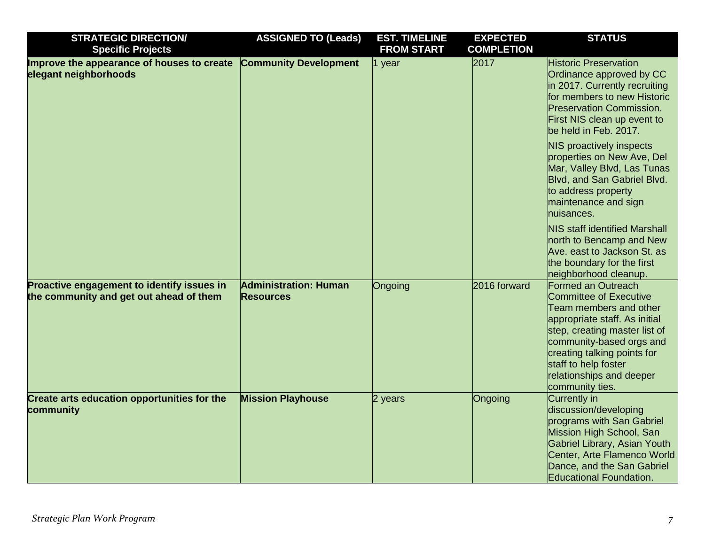| <b>STRATEGIC DIRECTION/</b><br><b>Specific Projects</b>                               | <b>ASSIGNED TO (Leads)</b>                       | <b>EST. TIMELINE</b><br><b>FROM START</b> | <b>EXPECTED</b><br><b>COMPLETION</b> | <b>STATUS</b>                                                                                                                                                                                                                                                                            |
|---------------------------------------------------------------------------------------|--------------------------------------------------|-------------------------------------------|--------------------------------------|------------------------------------------------------------------------------------------------------------------------------------------------------------------------------------------------------------------------------------------------------------------------------------------|
| Improve the appearance of houses to create<br>elegant neighborhoods                   | <b>Community Development</b>                     | 1 year                                    | 2017                                 | <b>Historic Preservation</b><br>Ordinance approved by CC<br>in 2017. Currently recruiting<br>for members to new Historic<br><b>Preservation Commission.</b><br>First NIS clean up event to<br>be held in Feb. 2017.                                                                      |
|                                                                                       |                                                  |                                           |                                      | <b>NIS proactively inspects</b><br>properties on New Ave, Del<br>Mar, Valley Blvd, Las Tunas<br>Blvd, and San Gabriel Blvd.<br>to address property<br>maintenance and sign<br>nuisances.                                                                                                 |
|                                                                                       |                                                  |                                           |                                      | <b>NIS staff identified Marshall</b><br>north to Bencamp and New<br>Ave. east to Jackson St. as<br>the boundary for the first<br>neighborhood cleanup.                                                                                                                                   |
| Proactive engagement to identify issues in<br>the community and get out ahead of them | <b>Administration: Human</b><br><b>Resources</b> | Ongoing                                   | 2016 forward                         | <b>Formed an Outreach</b><br><b>Committee of Executive</b><br>Team members and other<br>appropriate staff. As initial<br>step, creating master list of<br>community-based orgs and<br>creating talking points for<br>staff to help foster<br>relationships and deeper<br>community ties. |
| <b>Create arts education opportunities for the</b><br>community                       | <b>Mission Playhouse</b>                         | 2 years                                   | Ongoing                              | Currently in<br>discussion/developing<br>programs with San Gabriel<br>Mission High School, San<br>Gabriel Library, Asian Youth<br>Center, Arte Flamenco World<br>Dance, and the San Gabriel<br><b>Educational Foundation.</b>                                                            |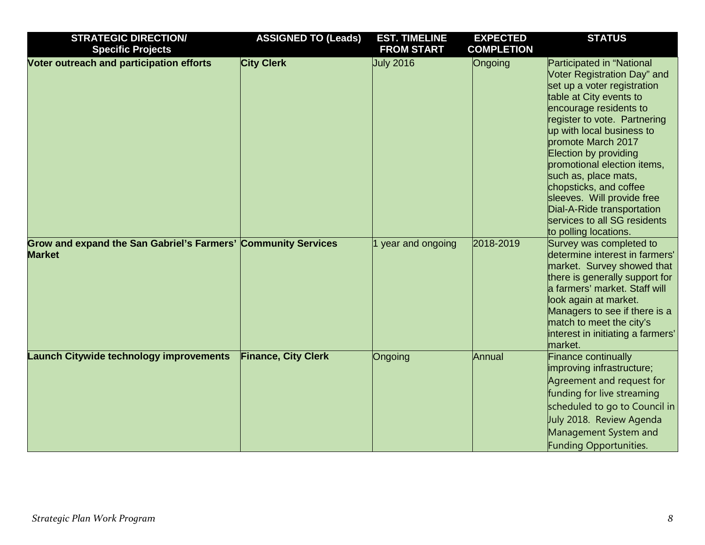| <b>STRATEGIC DIRECTION/</b>                                                    | <b>ASSIGNED TO (Leads)</b> | <b>EST. TIMELINE</b> | <b>EXPECTED</b>   | <b>STATUS</b>                                                                                                                                                                                                                                                                                                                                                                                                                                                  |
|--------------------------------------------------------------------------------|----------------------------|----------------------|-------------------|----------------------------------------------------------------------------------------------------------------------------------------------------------------------------------------------------------------------------------------------------------------------------------------------------------------------------------------------------------------------------------------------------------------------------------------------------------------|
| <b>Specific Projects</b>                                                       |                            | <b>FROM START</b>    | <b>COMPLETION</b> |                                                                                                                                                                                                                                                                                                                                                                                                                                                                |
| Voter outreach and participation efforts                                       | <b>City Clerk</b>          | <b>July 2016</b>     | Ongoing           | Participated in "National<br>Voter Registration Day" and<br>set up a voter registration<br>table at City events to<br>encourage residents to<br>register to vote. Partnering<br>up with local business to<br>promote March 2017<br>Election by providing<br>promotional election items,<br>such as, place mats,<br>chopsticks, and coffee<br>sleeves. Will provide free<br>Dial-A-Ride transportation<br>services to all SG residents<br>to polling locations. |
| Grow and expand the San Gabriel's Farmers' Community Services<br><b>Market</b> |                            | year and ongoing     | 2018-2019         | Survey was completed to<br>determine interest in farmers'<br>market. Survey showed that<br>there is generally support for<br>a farmers' market. Staff will<br>look again at market.<br>Managers to see if there is a<br>match to meet the city's<br>interest in initiating a farmers'<br>market.                                                                                                                                                               |
| <b>Launch Citywide technology improvements</b>                                 | <b>Finance, City Clerk</b> | Ongoing              | Annual            | Finance continually<br>improving infrastructure;<br>Agreement and request for<br>funding for live streaming<br>scheduled to go to Council in<br>July 2018. Review Agenda<br>Management System and<br>Funding Opportunities.                                                                                                                                                                                                                                    |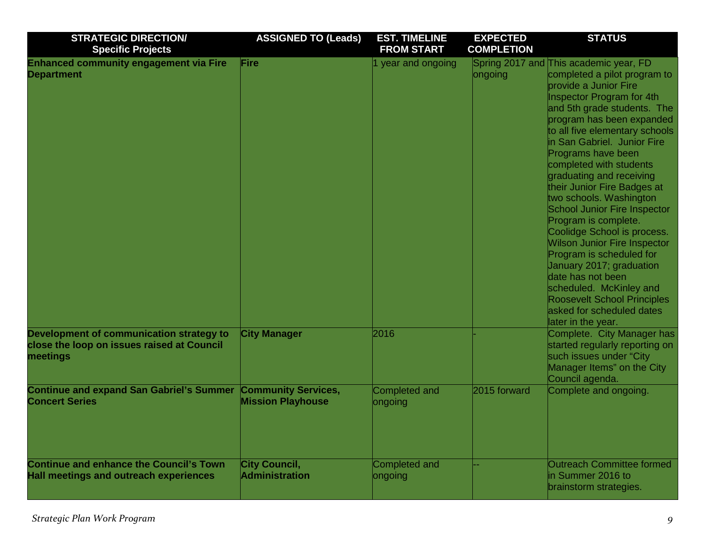| <b>STRATEGIC DIRECTION/</b><br><b>Specific Projects</b>                                            | <b>ASSIGNED TO (Leads)</b>                             | <b>EST. TIMELINE</b><br><b>FROM START</b> | <b>EXPECTED</b><br><b>COMPLETION</b> | <b>STATUS</b>                                                                                                                                                                                                                                                                                                                                                                                                                                                                                                                                                                                                                                                                                                                                 |
|----------------------------------------------------------------------------------------------------|--------------------------------------------------------|-------------------------------------------|--------------------------------------|-----------------------------------------------------------------------------------------------------------------------------------------------------------------------------------------------------------------------------------------------------------------------------------------------------------------------------------------------------------------------------------------------------------------------------------------------------------------------------------------------------------------------------------------------------------------------------------------------------------------------------------------------------------------------------------------------------------------------------------------------|
| <b>Enhanced community engagement via Fire</b><br><b>Department</b>                                 | Fire                                                   | 1 year and ongoing                        | ongoing                              | Spring 2017 and This academic year, FD<br>completed a pilot program to<br><b>provide a Junior Fire</b><br>Inspector Program for 4th<br>and 5th grade students. The<br>program has been expanded<br>to all five elementary schools<br>in San Gabriel. Junior Fire<br>Programs have been<br>completed with students<br>graduating and receiving<br>their Junior Fire Badges at<br>two schools. Washington<br><b>School Junior Fire Inspector</b><br>Program is complete.<br>Coolidge School is process.<br><b>Wilson Junior Fire Inspector</b><br>Program is scheduled for<br>January 2017; graduation<br>date has not been<br>scheduled. McKinley and<br><b>Roosevelt School Principles</b><br>asked for scheduled dates<br>later in the year. |
| Development of communication strategy to<br>close the loop on issues raised at Council<br>meetings | <b>City Manager</b>                                    | 2016                                      |                                      | Complete. City Manager has<br>started regularly reporting on<br>such issues under "City<br>Manager Items" on the City<br>Council agenda.                                                                                                                                                                                                                                                                                                                                                                                                                                                                                                                                                                                                      |
| <b>Continue and expand San Gabriel's Summer</b><br><b>Concert Series</b>                           | <b>Community Services,</b><br><b>Mission Playhouse</b> | <b>Completed and</b><br>ongoing           | 2015 forward                         | Complete and ongoing.                                                                                                                                                                                                                                                                                                                                                                                                                                                                                                                                                                                                                                                                                                                         |
| <b>Continue and enhance the Council's Town</b><br><b>Hall meetings and outreach experiences</b>    | <b>City Council,</b><br><b>Administration</b>          | Completed and<br>ongoing                  |                                      | <b>Outreach Committee formed</b><br>in Summer 2016 to<br>brainstorm strategies.                                                                                                                                                                                                                                                                                                                                                                                                                                                                                                                                                                                                                                                               |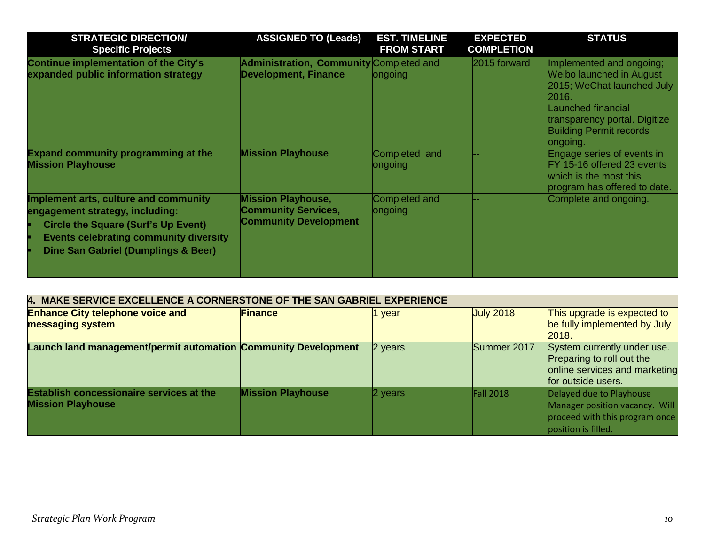| <b>STRATEGIC DIRECTION/</b><br><b>Specific Projects</b>                                                                                                                                                        | <b>ASSIGNED TO (Leads)</b>                                                              | <b>EST. TIMELINE</b><br><b>FROM START</b> | <b>EXPECTED</b><br><b>COMPLETION</b> | <b>STATUS</b>                                                                                                                                                                                    |
|----------------------------------------------------------------------------------------------------------------------------------------------------------------------------------------------------------------|-----------------------------------------------------------------------------------------|-------------------------------------------|--------------------------------------|--------------------------------------------------------------------------------------------------------------------------------------------------------------------------------------------------|
| <b>Continue implementation of the City's</b><br>expanded public information strategy                                                                                                                           | Administration, Community Completed and<br><b>Development, Finance</b>                  | ongoing                                   | 2015 forward                         | Implemented and ongoing;<br>Weibo launched in August<br>2015; WeChat launched July<br>2016.<br>Launched financial<br>transparency portal. Digitize<br><b>Building Permit records</b><br>ongoing. |
| <b>Expand community programming at the</b><br><b>Mission Playhouse</b>                                                                                                                                         | <b>Mission Playhouse</b>                                                                | Completed and<br>ongoing                  |                                      | Engage series of events in<br>FY 15-16 offered 23 events<br>which is the most this<br>program has offered to date.                                                                               |
| Implement arts, culture and community<br>engagement strategy, including:<br><b>Circle the Square (Surf's Up Event)</b><br><b>Events celebrating community diversity</b><br>Dine San Gabriel (Dumplings & Beer) | <b>Mission Playhouse,</b><br><b>Community Services,</b><br><b>Community Development</b> | Completed and<br>ongoing                  |                                      | Complete and ongoing.                                                                                                                                                                            |

| 4. MAKE SERVICE EXCELLENCE A CORNERSTONE OF THE SAN GABRIEL EXPERIENCE      |                          |           |                  |                                                                                                                     |  |
|-----------------------------------------------------------------------------|--------------------------|-----------|------------------|---------------------------------------------------------------------------------------------------------------------|--|
| <b>Enhance City telephone voice and</b><br>messaging system                 | <b>Finance</b>           | 1 year    | <b>July 2018</b> | This upgrade is expected to<br>be fully implemented by July<br>2018.                                                |  |
| Launch land management/permit automation Community Development              |                          | 2 years   | Summer 2017      | System currently under use.<br>Preparing to roll out the<br>online services and marketing<br>for outside users.     |  |
| <b>Establish concessionaire services at the</b><br><b>Mission Playhouse</b> | <b>Mission Playhouse</b> | $2$ years | <b>Fall 2018</b> | Delayed due to Playhouse<br>Manager position vacancy. Will<br>proceed with this program once<br>position is filled. |  |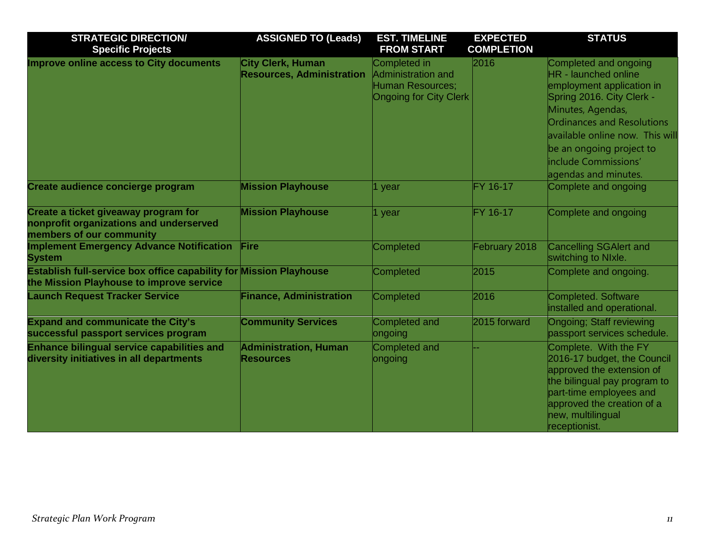| <b>STRATEGIC DIRECTION/</b>                                                                                           | <b>ASSIGNED TO (Leads)</b>                            | <b>EST. TIMELINE</b>                                                                                  | <b>EXPECTED</b>   | <b>STATUS</b>                                                                                                                                                                                                                                                                    |
|-----------------------------------------------------------------------------------------------------------------------|-------------------------------------------------------|-------------------------------------------------------------------------------------------------------|-------------------|----------------------------------------------------------------------------------------------------------------------------------------------------------------------------------------------------------------------------------------------------------------------------------|
| <b>Specific Projects</b>                                                                                              |                                                       | <b>FROM START</b>                                                                                     | <b>COMPLETION</b> |                                                                                                                                                                                                                                                                                  |
| <b>Improve online access to City documents</b>                                                                        | City Clerk, Human<br><b>Resources, Administration</b> | <b>Completed in</b><br><b>Administration and</b><br>Human Resources;<br><b>Ongoing for City Clerk</b> | 2016              | Completed and ongoing<br>HR - launched online<br>employment application in<br>Spring 2016. City Clerk -<br>Minutes, Agendas,<br><b>Ordinances and Resolutions</b><br>available online now. This will<br>be an ongoing project to<br>include Commissions'<br>agendas and minutes. |
| Create audience concierge program                                                                                     | <b>Mission Playhouse</b>                              | 1 year                                                                                                | FY 16-17          | Complete and ongoing                                                                                                                                                                                                                                                             |
| Create a ticket giveaway program for<br>nonprofit organizations and underserved<br>members of our community           | <b>Mission Playhouse</b>                              | 1 year                                                                                                | FY 16-17          | Complete and ongoing                                                                                                                                                                                                                                                             |
| <b>Implement Emergency Advance Notification</b><br><b>System</b>                                                      | Fire                                                  | <b>Completed</b>                                                                                      | February 2018     | <b>Cancelling SGAlert and</b><br>switching to NIxle.                                                                                                                                                                                                                             |
| <b>Establish full-service box office capability for Mission Playhouse</b><br>the Mission Playhouse to improve service |                                                       | <b>Completed</b>                                                                                      | 2015              | Complete and ongoing.                                                                                                                                                                                                                                                            |
| <b>Launch Request Tracker Service</b>                                                                                 | <b>Finance, Administration</b>                        | <b>Completed</b>                                                                                      | 2016              | <b>Completed. Software</b><br>installed and operational.                                                                                                                                                                                                                         |
| <b>Expand and communicate the City's</b><br>successful passport services program                                      | <b>Community Services</b>                             | <b>Completed and</b><br>ongoing                                                                       | 2015 forward      | <b>Ongoing; Staff reviewing</b><br>passport services schedule.                                                                                                                                                                                                                   |
| <b>Enhance bilingual service capabilities and</b><br>diversity initiatives in all departments                         | <b>Administration, Human</b><br><b>Resources</b>      | <b>Completed and</b><br>ongoing                                                                       |                   | Complete. With the FY<br>2016-17 budget, the Council<br>approved the extension of<br>the bilingual pay program to<br>part-time employees and<br>approved the creation of a<br>new, multilingual<br>receptionist.                                                                 |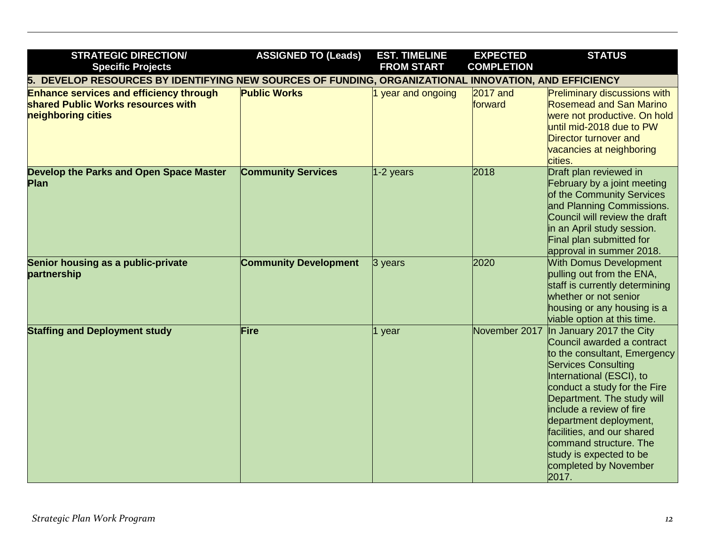| <b>STRATEGIC DIRECTION/</b><br><b>Specific Projects</b>                                                    | <b>ASSIGNED TO (Leads)</b>   | <b>EST. TIMELINE</b><br><b>FROM START</b> | <b>EXPECTED</b><br><b>COMPLETION</b> | <b>STATUS</b>                                                                                                                                                                                                                                                                                                                                                                             |  |
|------------------------------------------------------------------------------------------------------------|------------------------------|-------------------------------------------|--------------------------------------|-------------------------------------------------------------------------------------------------------------------------------------------------------------------------------------------------------------------------------------------------------------------------------------------------------------------------------------------------------------------------------------------|--|
| DEVELOP RESOURCES BY IDENTIFYING NEW SOURCES OF FUNDING, ORGANIZATIONAL INNOVATION, AND EFFICIENCY<br>5.   |                              |                                           |                                      |                                                                                                                                                                                                                                                                                                                                                                                           |  |
| <b>Enhance services and efficiency through</b><br>shared Public Works resources with<br>neighboring cities | <b>Public Works</b>          | year and ongoing                          | $2017$ and<br>forward                | <b>Preliminary discussions with</b><br><b>Rosemead and San Marino</b><br>were not productive. On hold<br>until mid-2018 due to PW<br>Director turnover and<br>vacancies at neighboring<br>cities.                                                                                                                                                                                         |  |
| Develop the Parks and Open Space Master<br>Plan                                                            | <b>Community Services</b>    | 1-2 years                                 | 2018                                 | Draft plan reviewed in<br>February by a joint meeting<br>of the Community Services<br>and Planning Commissions.<br>Council will review the draft<br>in an April study session.<br>Final plan submitted for<br>approval in summer 2018.                                                                                                                                                    |  |
| Senior housing as a public-private<br>partnership                                                          | <b>Community Development</b> | $3$ years                                 | 2020                                 | <b>With Domus Development</b><br>pulling out from the ENA,<br>staff is currently determining<br>whether or not senior<br>housing or any housing is a<br>viable option at this time.                                                                                                                                                                                                       |  |
| <b>Staffing and Deployment study</b>                                                                       | Fire                         | 1 year                                    | November 2017                        | In January 2017 the City<br>Council awarded a contract<br>to the consultant, Emergency<br><b>Services Consulting</b><br>International (ESCI), to<br>conduct a study for the Fire<br>Department. The study will<br>include a review of fire<br>department deployment,<br>facilities, and our shared<br>command structure. The<br>study is expected to be<br>completed by November<br>2017. |  |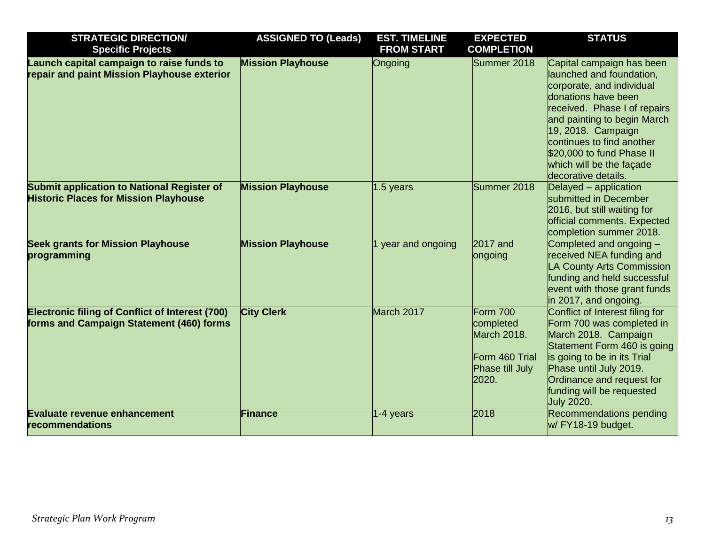| <b>STRATEGIC DIRECTION/</b>                                                                        | <b>ASSIGNED TO (Leads)</b> | <b>EST. TIMELINE</b> | <b>EXPECTED</b>                                                                    | <b>STATUS</b>                                                                                                                                                                                                                                                                                               |
|----------------------------------------------------------------------------------------------------|----------------------------|----------------------|------------------------------------------------------------------------------------|-------------------------------------------------------------------------------------------------------------------------------------------------------------------------------------------------------------------------------------------------------------------------------------------------------------|
| <b>Specific Projects</b>                                                                           |                            | <b>FROM START</b>    | <b>COMPLETION</b>                                                                  |                                                                                                                                                                                                                                                                                                             |
| Launch capital campaign to raise funds to<br>repair and paint Mission Playhouse exterior           | <b>Mission Playhouse</b>   | Ongoing              | Summer 2018                                                                        | Capital campaign has been<br>launched and foundation,<br>corporate, and individual<br>donations have been<br>received. Phase I of repairs<br>and painting to begin March<br>19, 2018. Campaign<br>continues to find another<br>\$20,000 to fund Phase II<br>which will be the facade<br>decorative details. |
| <b>Submit application to National Register of</b><br><b>Historic Places for Mission Playhouse</b>  | <b>Mission Playhouse</b>   | 1.5 years            | Summer 2018                                                                        | Delayed – application<br>submitted in December<br>2016, but still waiting for<br>official comments. Expected<br>completion summer 2018.                                                                                                                                                                     |
| <b>Seek grants for Mission Playhouse</b><br>programming                                            | <b>Mission Playhouse</b>   | year and ongoing     | 2017 and<br>ongoing                                                                | Completed and ongoing -<br>received NEA funding and<br><b>LA County Arts Commission</b><br>funding and held successful<br>event with those grant funds<br>in 2017, and ongoing.                                                                                                                             |
| <b>Electronic filing of Conflict of Interest (700)</b><br>forms and Campaign Statement (460) forms | <b>City Clerk</b>          | March 2017           | Form 700<br>completed<br>March 2018.<br>Form 460 Trial<br>Phase till July<br>2020. | Conflict of Interest filing for<br>Form 700 was completed in<br>March 2018. Campaign<br>Statement Form 460 is going<br>is going to be in its Trial<br>Phase until July 2019.<br>Ordinance and request for<br>funding will be requested<br><b>July 2020.</b>                                                 |
| <b>Evaluate revenue enhancement</b><br>recommendations                                             | <b>Finance</b>             | 1-4 years            | 2018                                                                               | Recommendations pending<br>w/ FY18-19 budget.                                                                                                                                                                                                                                                               |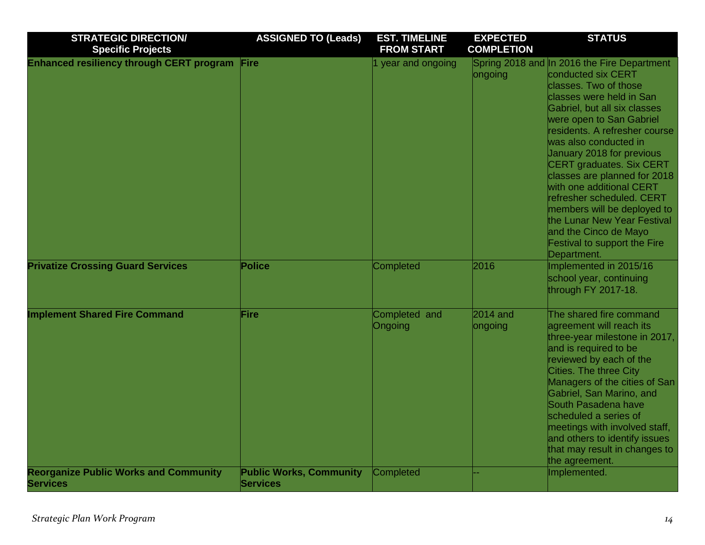| <b>STRATEGIC DIRECTION/</b><br><b>Specific Projects</b>         | <b>ASSIGNED TO (Leads)</b>                        | <b>EST. TIMELINE</b><br><b>FROM START</b> | <b>EXPECTED</b><br><b>COMPLETION</b> | <b>STATUS</b>                                                                                                                                                                                                                                                                                                                                                                                                                                                                                                                                      |
|-----------------------------------------------------------------|---------------------------------------------------|-------------------------------------------|--------------------------------------|----------------------------------------------------------------------------------------------------------------------------------------------------------------------------------------------------------------------------------------------------------------------------------------------------------------------------------------------------------------------------------------------------------------------------------------------------------------------------------------------------------------------------------------------------|
| <b>Enhanced resiliency through CERT program</b>                 | Fire                                              | 1 year and ongoing                        | ongoing                              | Spring 2018 and In 2016 the Fire Department<br>conducted six CERT<br>classes. Two of those<br>classes were held in San<br>Gabriel, but all six classes<br>were open to San Gabriel<br>residents. A refresher course<br>was also conducted in<br>January 2018 for previous<br><b>CERT graduates. Six CERT</b><br>classes are planned for 2018<br>with one additional CERT<br>refresher scheduled. CERT<br>members will be deployed to<br>the Lunar New Year Festival<br>and the Cinco de Mayo<br><b>Festival to support the Fire</b><br>Department. |
| <b>Privatize Crossing Guard Services</b>                        | Police                                            | Completed                                 | 2016                                 | Implemented in 2015/16<br>school year, continuing<br>through FY 2017-18.                                                                                                                                                                                                                                                                                                                                                                                                                                                                           |
| <b>Implement Shared Fire Command</b>                            | Fire                                              | Completed and<br>Ongoing                  | $2014$ and<br>ongoing                | The shared fire command<br>agreement will reach its<br>three-year milestone in 2017,<br>and is required to be<br>reviewed by each of the<br>Cities. The three City<br>Managers of the cities of San<br>Gabriel, San Marino, and<br>South Pasadena have<br>scheduled a series of<br>meetings with involved staff,<br>and others to identify issues<br>that may result in changes to<br>the agreement.                                                                                                                                               |
| <b>Reorganize Public Works and Community</b><br><b>Services</b> | <b>Public Works, Community</b><br><b>Services</b> | Completed                                 |                                      | Implemented.                                                                                                                                                                                                                                                                                                                                                                                                                                                                                                                                       |